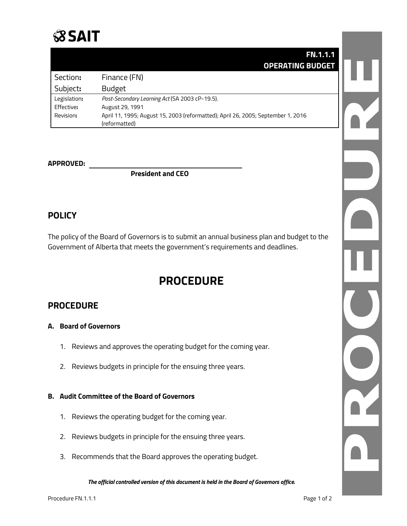

|              | <b>FN.1.1.1</b>                                                                  |  |
|--------------|----------------------------------------------------------------------------------|--|
|              | <b>OPERATING BUDGET</b>                                                          |  |
| Section:     | Finance (FN)                                                                     |  |
| Subject:     | <b>Budget</b>                                                                    |  |
| Legislation: | Post-Secondary Learning Act (SA 2003 cP-19.5).                                   |  |
| Effective:   | August 29, 1991                                                                  |  |
| Revision:    | April 11, 1995; August 15, 2003 (reformatted); April 26, 2005; September 1, 2016 |  |
|              | (reformatted)                                                                    |  |

## **APPROVED:**

**President and CEO**

# **POLICY**

The policy of the Board of Governors is to submit an annual business plan and budget to the Government of Alberta that meets the government's requirements and deadlines.

# **PROCEDURE**

# **PROCEDURE**

## **A. Board of Governors**

- 1. Reviews and approves the operating budget for the coming year.
- 2. Reviews budgets in principle for the ensuing three years.

#### **B. Audit Committee of the Board of Governors**

- 1. Reviews the operating budget for the coming year.
- 2. Reviews budgets in principle for the ensuing three years.
- 3. Recommends that the Board approves the operating budget.

*The official controlled version of this document is held in the Board of Governors office.*

T.